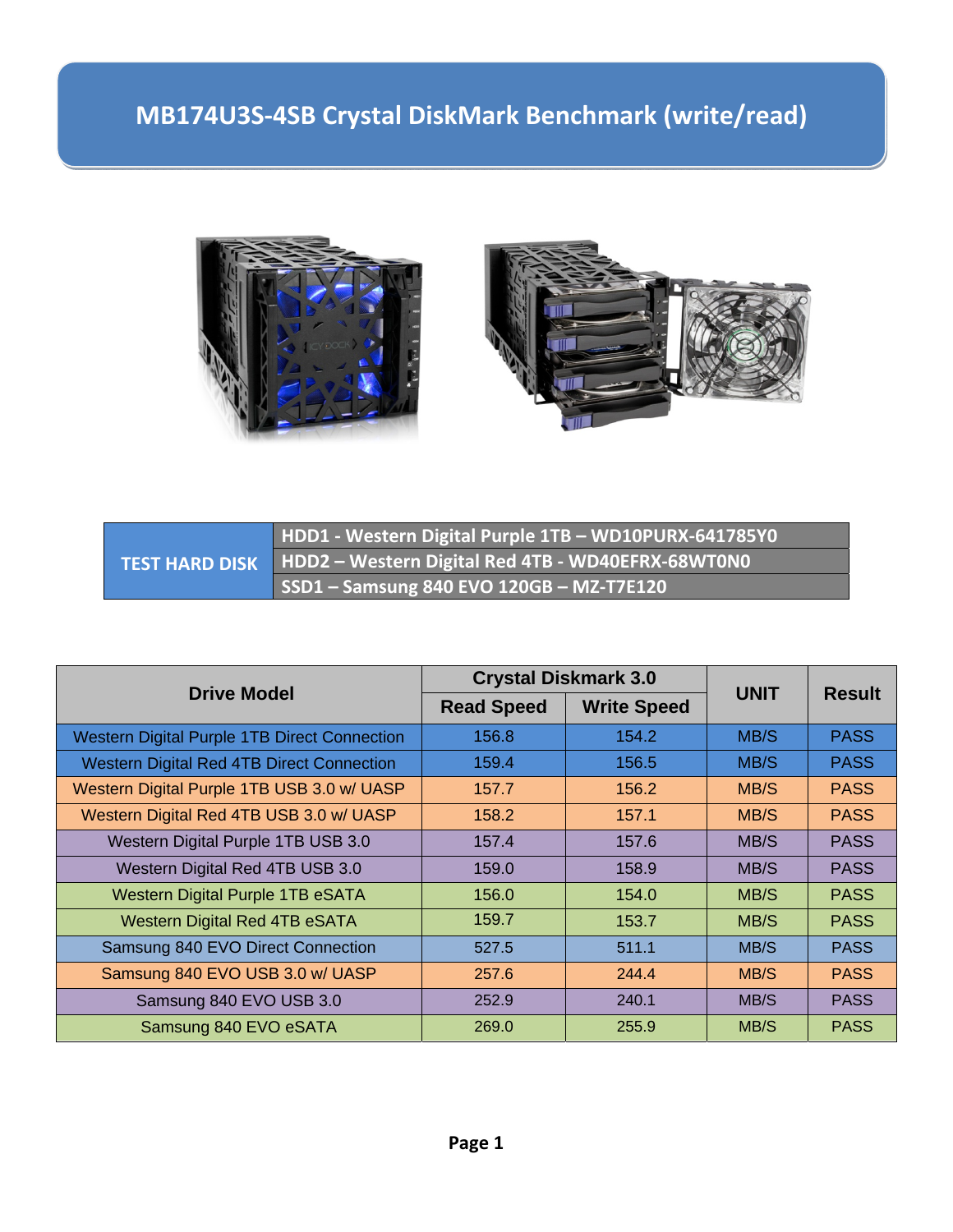



|  | HDD1 - Western Digital Purple 1TB - WD10PURX-641785Y0              |
|--|--------------------------------------------------------------------|
|  | TEST HARD DISK   HDD2 – Western Digital Red 4TB - WD40EFRX-68WT0N0 |
|  | SSD1 - Samsung 840 EVO 120GB - MZ-T7E120                           |

| <b>Drive Model</b>                                  | <b>Crystal Diskmark 3.0</b> |                    |             |               |
|-----------------------------------------------------|-----------------------------|--------------------|-------------|---------------|
|                                                     | <b>Read Speed</b>           | <b>Write Speed</b> | <b>UNIT</b> | <b>Result</b> |
| <b>Western Digital Purple 1TB Direct Connection</b> | 156.8                       | 154.2              | MB/S        | <b>PASS</b>   |
| <b>Western Digital Red 4TB Direct Connection</b>    | 159.4                       | 156.5              | MB/S        | <b>PASS</b>   |
| Western Digital Purple 1TB USB 3.0 w/ UASP          | 157.7                       | 156.2              | MB/S        | <b>PASS</b>   |
| Western Digital Red 4TB USB 3.0 w/ UASP             | 158.2                       | 157.1              | MB/S        | <b>PASS</b>   |
| Western Digital Purple 1TB USB 3.0                  | 157.4                       | 157.6              | MB/S        | <b>PASS</b>   |
| Western Digital Red 4TB USB 3.0                     | 159.0                       | 158.9              | MB/S        | <b>PASS</b>   |
| Western Digital Purple 1TB eSATA                    | 156.0                       | 154.0              | MB/S        | <b>PASS</b>   |
| <b>Western Digital Red 4TB eSATA</b>                | 159.7                       | 153.7              | MB/S        | <b>PASS</b>   |
| Samsung 840 EVO Direct Connection                   | 527.5                       | 511.1              | MB/S        | <b>PASS</b>   |
| Samsung 840 EVO USB 3.0 w/ UASP                     | 257.6                       | 244.4              | MB/S        | <b>PASS</b>   |
| Samsung 840 EVO USB 3.0                             | 252.9                       | 240.1              | MB/S        | <b>PASS</b>   |
| Samsung 840 EVO eSATA                               | 269.0                       | 255.9              | MB/S        | <b>PASS</b>   |